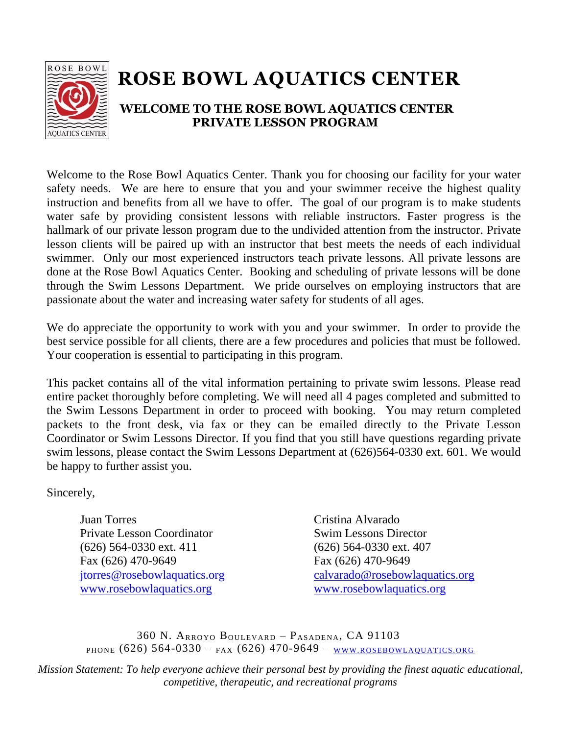

# **ROSE BOWL AQUATICS CENTER**

## **WELCOME TO THE ROSE BOWL AQUATICS CENTER PRIVATE LESSON PROGRAM**

Welcome to the Rose Bowl Aquatics Center. Thank you for choosing our facility for your water safety needs. We are here to ensure that you and your swimmer receive the highest quality instruction and benefits from all we have to offer. The goal of our program is to make students water safe by providing consistent lessons with reliable instructors. Faster progress is the hallmark of our private lesson program due to the undivided attention from the instructor. Private lesson clients will be paired up with an instructor that best meets the needs of each individual swimmer. Only our most experienced instructors teach private lessons. All private lessons are done at the Rose Bowl Aquatics Center. Booking and scheduling of private lessons will be done through the Swim Lessons Department. We pride ourselves on employing instructors that are passionate about the water and increasing water safety for students of all ages.

We do appreciate the opportunity to work with you and your swimmer. In order to provide the best service possible for all clients, there are a few procedures and policies that must be followed. Your cooperation is essential to participating in this program.

This packet contains all of the vital information pertaining to private swim lessons. Please read entire packet thoroughly before completing. We will need all 4 pages completed and submitted to the Swim Lessons Department in order to proceed with booking. You may return completed packets to the front desk, via fax or they can be emailed directly to the Private Lesson Coordinator or Swim Lessons Director. If you find that you still have questions regarding private swim lessons, please contact the Swim Lessons Department at (626)564-0330 ext. 601. We would be happy to further assist you.

Sincerely,

Juan Torres Cristina Alvarado Private Lesson Coordinator Swim Lessons Director (626) 564-0330 ext. 411 (626) 564-0330 ext. 407 Fax [\(626\) 470-9649](tel:626-470-9649) Fax (626) 470-9649 [www.rosebowlaquatics.org](http://www.rosebowlaquatics.org/) [www.rosebowlaquatics.org](http://www.rosebowlaquatics.org/)

jtorres@rosebowlaquatics.org [calvarado@rosebowlaquatics.org](mailto:calvarado@rosebowlaquatics.org)

360 N. ARROYO BOULEVARD – PASADENA, CA 91103 PHONE  $(626)$  564-0330 – FAX  $(626)$  470-9649 – www.rosebowlaquatics.org

*Mission Statement: To help everyone achieve their personal best by providing the finest aquatic educational, competitive, therapeutic, and recreational programs*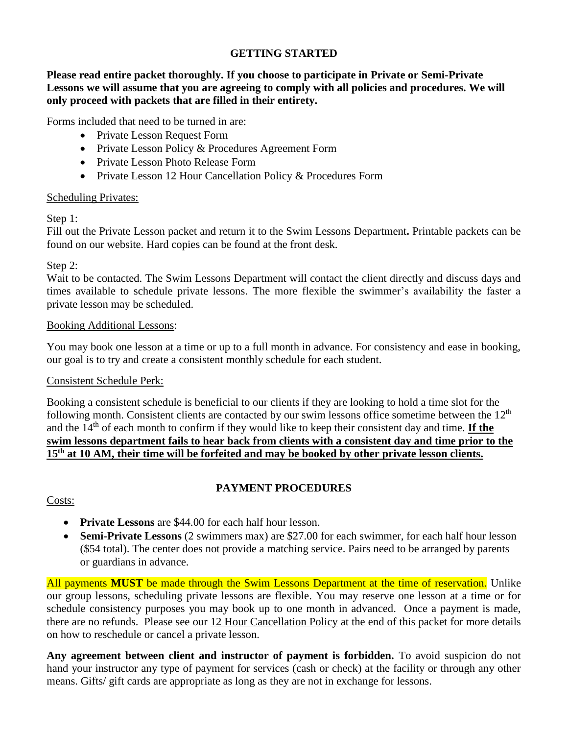#### **GETTING STARTED**

**Please read entire packet thoroughly. If you choose to participate in Private or Semi-Private**  Lessons we will assume that you are agreeing to comply with all policies and procedures. We will **only proceed with packets that are filled in their entirety.** 

Forms included that need to be turned in are:

- Private Lesson Request Form
- Private Lesson Policy & Procedures Agreement Form
- Private Lesson Photo Release Form
- Private Lesson 12 Hour Cancellation Policy & Procedures Form

#### Scheduling Privates:

Step 1:

Fill out the Private Lesson packet and return it to the Swim Lessons Department**.** Printable packets can be found on our website. Hard copies can be found at the front desk.

#### Step 2:

Wait to be contacted. The Swim Lessons Department will contact the client directly and discuss days and times available to schedule private lessons. The more flexible the swimmer's availability the faster a private lesson may be scheduled.

#### Booking Additional Lessons:

You may book one lesson at a time or up to a full month in advance. For consistency and ease in booking, our goal is to try and create a consistent monthly schedule for each student.

### Consistent Schedule Perk:

Booking a consistent schedule is beneficial to our clients if they are looking to hold a time slot for the following month. Consistent clients are contacted by our swim lessons office sometime between the  $12<sup>th</sup>$ and the 14<sup>th</sup> of each month to confirm if they would like to keep their consistent day and time. **If the swim lessons department fails to hear back from clients with a consistent day and time prior to the 15th at 10 AM, their time will be forfeited and may be booked by other private lesson clients.** 

### **PAYMENT PROCEDURES**

Costs:

- **Private Lessons** are \$44.00 for each half hour lesson.
- **Semi-Private Lessons** (2 swimmers max) are \$27.00 for each swimmer, for each half hour lesson (\$54 total). The center does not provide a matching service. Pairs need to be arranged by parents or guardians in advance.

All payments **MUST** be made through the Swim Lessons Department at the time of reservation. Unlike our group lessons, scheduling private lessons are flexible. You may reserve one lesson at a time or for schedule consistency purposes you may book up to one month in advanced. Once a payment is made, there are no refunds. Please see our 12 Hour Cancellation Policy at the end of this packet for more details on how to reschedule or cancel a private lesson.

**Any agreement between client and instructor of payment is forbidden.** To avoid suspicion do not hand your instructor any type of payment for services (cash or check) at the facility or through any other means. Gifts/ gift cards are appropriate as long as they are not in exchange for lessons.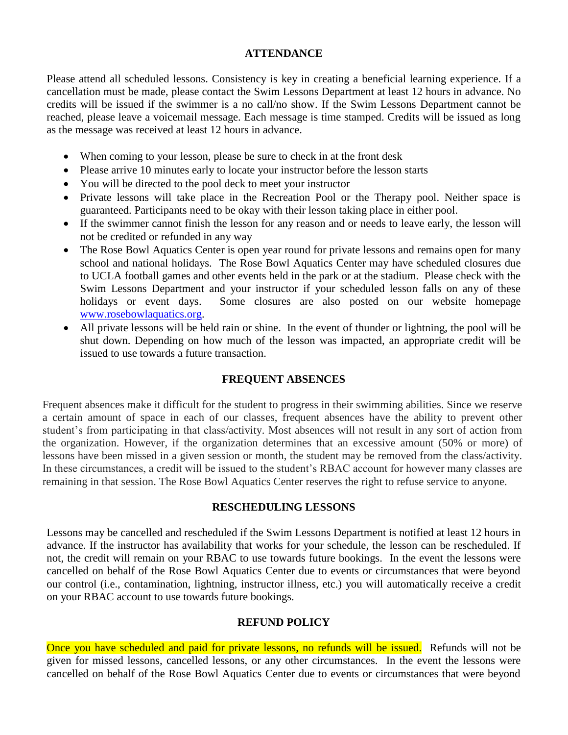#### **ATTENDANCE**

Please attend all scheduled lessons. Consistency is key in creating a beneficial learning experience. If a cancellation must be made, please contact the Swim Lessons Department at least 12 hours in advance. No credits will be issued if the swimmer is a no call/no show. If the Swim Lessons Department cannot be reached, please leave a voicemail message. Each message is time stamped. Credits will be issued as long as the message was received at least 12 hours in advance.

- When coming to your lesson, please be sure to check in at the front desk
- Please arrive 10 minutes early to locate your instructor before the lesson starts
- You will be directed to the pool deck to meet your instructor
- Private lessons will take place in the Recreation Pool or the Therapy pool. Neither space is guaranteed. Participants need to be okay with their lesson taking place in either pool.
- If the swimmer cannot finish the lesson for any reason and or needs to leave early, the lesson will not be credited or refunded in any way
- The Rose Bowl Aquatics Center is open year round for private lessons and remains open for many school and national holidays. The Rose Bowl Aquatics Center may have scheduled closures due to UCLA football games and other events held in the park or at the stadium. Please check with the Swim Lessons Department and your instructor if your scheduled lesson falls on any of these holidays or event days. Some closures are also posted on our website homepage [www.rosebowlaquatics.org.](http://www.rosebowlaquatics.org/)
- All private lessons will be held rain or shine. In the event of thunder or lightning, the pool will be shut down. Depending on how much of the lesson was impacted, an appropriate credit will be issued to use towards a future transaction.

#### **FREQUENT ABSENCES**

Frequent absences make it difficult for the student to progress in their swimming abilities. Since we reserve a certain amount of space in each of our classes, frequent absences have the ability to prevent other student's from participating in that class/activity. Most absences will not result in any sort of action from the organization. However, if the organization determines that an excessive amount (50% or more) of lessons have been missed in a given session or month, the student may be removed from the class/activity. In these circumstances, a credit will be issued to the student's RBAC account for however many classes are remaining in that session. The Rose Bowl Aquatics Center reserves the right to refuse service to anyone.

#### **RESCHEDULING LESSONS**

Lessons may be cancelled and rescheduled if the Swim Lessons Department is notified at least 12 hours in advance. If the instructor has availability that works for your schedule, the lesson can be rescheduled. If not, the credit will remain on your RBAC to use towards future bookings. In the event the lessons were cancelled on behalf of the Rose Bowl Aquatics Center due to events or circumstances that were beyond our control (i.e., contamination, lightning, instructor illness, etc.) you will automatically receive a credit on your RBAC account to use towards future bookings.

#### **REFUND POLICY**

Once you have scheduled and paid for private lessons, no refunds will be issued. Refunds will not be given for missed lessons, cancelled lessons, or any other circumstances. In the event the lessons were cancelled on behalf of the Rose Bowl Aquatics Center due to events or circumstances that were beyond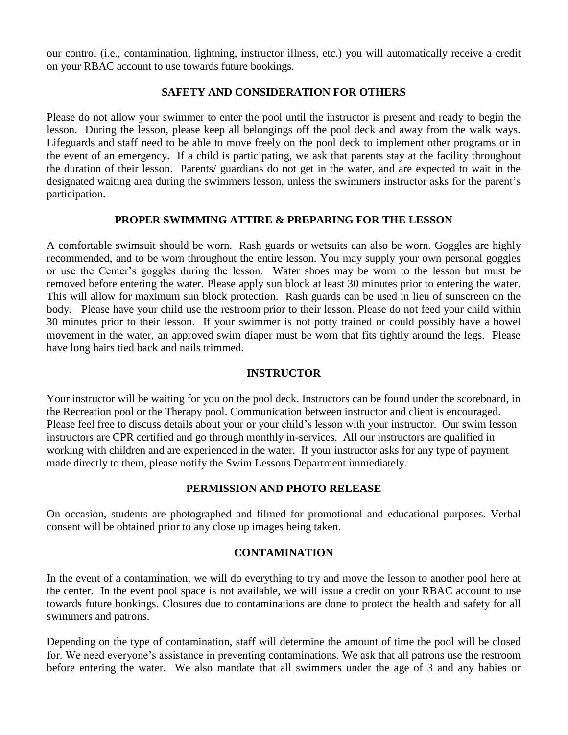our control (i.e., contamination, lightning, instructor illness, etc.) you will automatically receive a credit on your RBAC account to use towards future bookings.

#### **SAFETY AND CONSIDERATION FOR OTHERS**

Please do not allow your swimmer to enter the pool until the instructor is present and ready to begin the lesson. During the lesson, please keep all belongings off the pool deck and away from the walk ways. Lifeguards and staff need to be able to move freely on the pool deck to implement other programs or in the event of an emergency. If a child is participating, we ask that parents stay at the facility throughout the duration of their lesson. Parents/ guardians do not get in the water, and are expected to wait in the designated waiting area during the swimmers lesson, unless the swimmers instructor asks for the parent's participation.

#### **PROPER SWIMMING ATTIRE & PREPARING FOR THE LESSON**

A comfortable swimsuit should be worn. Rash guards or wetsuits can also be worn. Goggles are highly recommended, and to be worn throughout the entire lesson. You may supply your own personal goggles or use the Center's goggles during the lesson. Water shoes may be worn to the lesson but must be removed before entering the water. Please apply sun block at least 30 minutes prior to entering the water. This will allow for maximum sun block protection. Rash guards can be used in lieu of sunscreen on the body. Please have your child use the restroom prior to their lesson. Please do not feed your child within 30 minutes prior to their lesson. If your swimmer is not potty trained or could possibly have a bowel movement in the water, an approved swim diaper must be worn that fits tightly around the legs. Please have long hairs tied back and nails trimmed.

#### **INSTRUCTOR**

Your instructor will be waiting for you on the pool deck. Instructors can be found under the scoreboard, in the Recreation pool or the Therapy pool. Communication between instructor and client is encouraged. Please feel free to discuss details about your or your child's lesson with your instructor. Our swim lesson instructors are CPR certified and go through monthly in-services. All our instructors are qualified in working with children and are experienced in the water. If your instructor asks for any type of payment made directly to them, please notify the Swim Lessons Department immediately.

#### **PERMISSION AND PHOTO RELEASE**

On occasion, students are photographed and filmed for promotional and educational purposes. Verbal consent will be obtained prior to any close up images being taken.

#### **CONTAMINATION**

In the event of a contamination, we will do everything to try and move the lesson to another pool here at the center. In the event pool space is not available, we will issue a credit on your RBAC account to use towards future bookings. Closures due to contaminations are done to protect the health and safety for all swimmers and patrons.

Depending on the type of contamination, staff will determine the amount of time the pool will be closed for. We need everyone's assistance in preventing contaminations. We ask that all patrons use the restroom before entering the water. We also mandate that all swimmers under the age of 3 and any babies or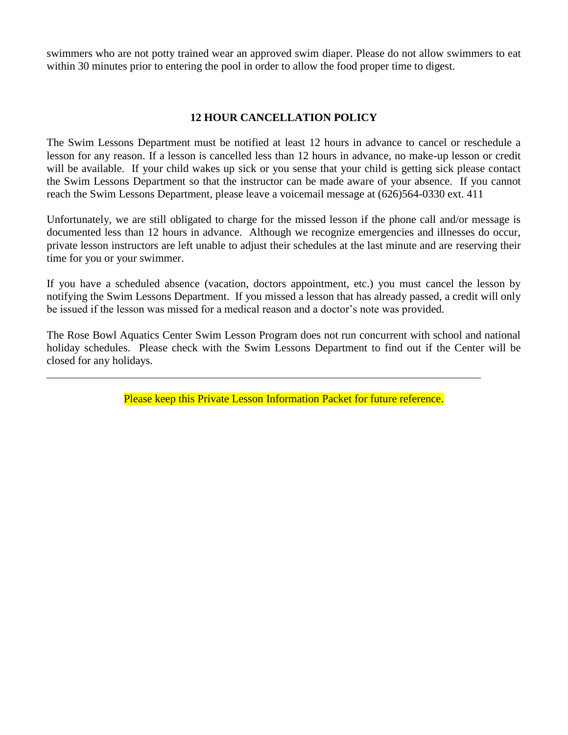swimmers who are not potty trained wear an approved swim diaper. Please do not allow swimmers to eat within 30 minutes prior to entering the pool in order to allow the food proper time to digest.

#### **12 HOUR CANCELLATION POLICY**

The Swim Lessons Department must be notified at least 12 hours in advance to cancel or reschedule a lesson for any reason. If a lesson is cancelled less than 12 hours in advance, no make-up lesson or credit will be available. If your child wakes up sick or you sense that your child is getting sick please contact the Swim Lessons Department so that the instructor can be made aware of your absence. If you cannot reach the Swim Lessons Department, please leave a voicemail message at (626)564-0330 ext. 411

Unfortunately, we are still obligated to charge for the missed lesson if the phone call and/or message is documented less than 12 hours in advance. Although we recognize emergencies and illnesses do occur, private lesson instructors are left unable to adjust their schedules at the last minute and are reserving their time for you or your swimmer.

If you have a scheduled absence (vacation, doctors appointment, etc.) you must cancel the lesson by notifying the Swim Lessons Department. If you missed a lesson that has already passed, a credit will only be issued if the lesson was missed for a medical reason and a doctor's note was provided.

The Rose Bowl Aquatics Center Swim Lesson Program does not run concurrent with school and national holiday schedules. Please check with the Swim Lessons Department to find out if the Center will be closed for any holidays.

Please keep this Private Lesson Information Packet for future reference.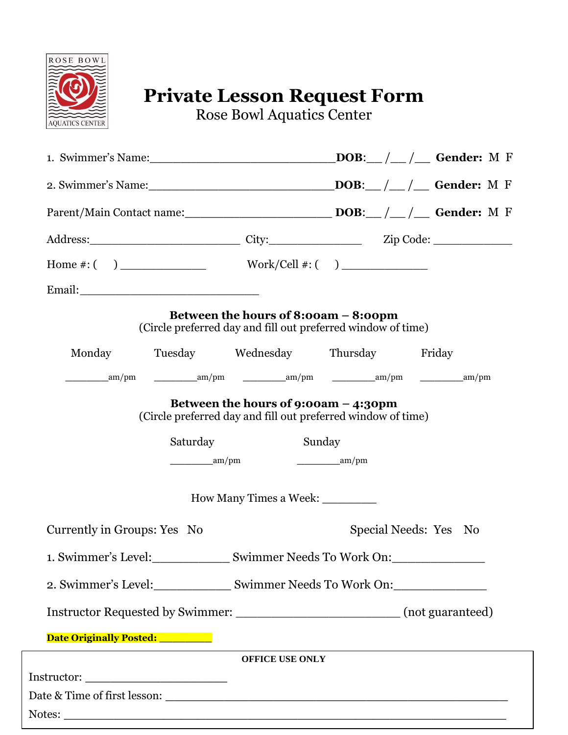

## **Private Lesson Request Form**

Rose Bowl Aquatics Center

|                                                                                  |                                           | Parent/Main Contact name: DOB: DOB: Carl Conder: M F                                                 |                                     |  |  |                       |  |
|----------------------------------------------------------------------------------|-------------------------------------------|------------------------------------------------------------------------------------------------------|-------------------------------------|--|--|-----------------------|--|
|                                                                                  |                                           |                                                                                                      |                                     |  |  |                       |  |
|                                                                                  |                                           |                                                                                                      |                                     |  |  |                       |  |
|                                                                                  |                                           |                                                                                                      |                                     |  |  |                       |  |
|                                                                                  |                                           | Between the hours of 8:00am - 8:00pm<br>(Circle preferred day and fill out preferred window of time) |                                     |  |  |                       |  |
| Monday                                                                           |                                           | Tuesday Wednesday Thursday Friday                                                                    |                                     |  |  |                       |  |
|                                                                                  |                                           |                                                                                                      |                                     |  |  |                       |  |
|                                                                                  | Saturday<br>$\frac{\text{am}}{\text{pm}}$ | Sunday                                                                                               | $\frac{\text{mm}}{\text{mm}}$ am/pm |  |  |                       |  |
|                                                                                  |                                           | How Many Times a Week: ___________                                                                   |                                     |  |  |                       |  |
| Currently in Groups: Yes No                                                      |                                           |                                                                                                      |                                     |  |  | Special Needs: Yes No |  |
| 1. Swimmer's Level:                                                              |                                           | Swimmer Needs To Work On:                                                                            |                                     |  |  |                       |  |
| 2. Swimmer's Level:____________________ Swimmer Needs To Work On:_______________ |                                           |                                                                                                      |                                     |  |  |                       |  |
|                                                                                  |                                           |                                                                                                      |                                     |  |  |                       |  |
| Date Originally Posted: _________                                                |                                           |                                                                                                      |                                     |  |  |                       |  |
|                                                                                  |                                           | <b>OFFICE USE ONLY</b>                                                                               |                                     |  |  |                       |  |
| Instructor: ______________________________                                       |                                           |                                                                                                      |                                     |  |  |                       |  |
|                                                                                  |                                           |                                                                                                      |                                     |  |  |                       |  |

Notes: \_\_\_\_\_\_\_\_\_\_\_\_\_\_\_\_\_\_\_\_\_\_\_\_\_\_\_\_\_\_\_\_\_\_\_\_\_\_\_\_\_\_\_\_\_\_\_\_\_\_\_\_\_

Ī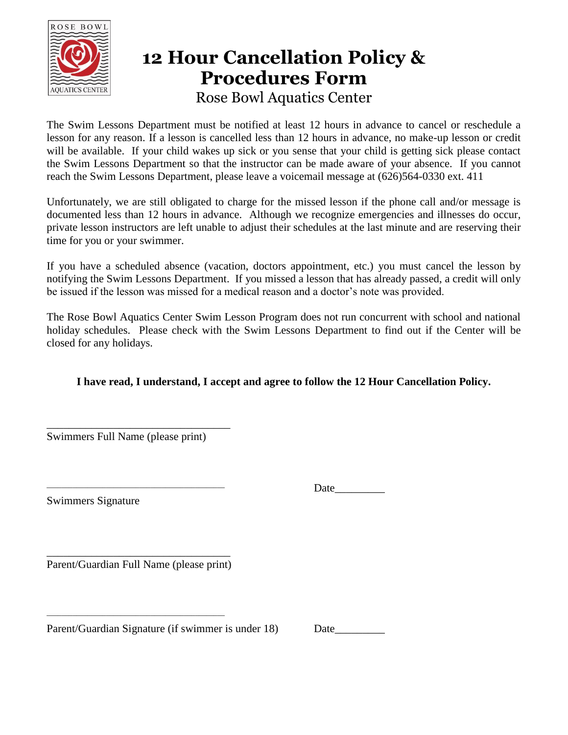

## **12 Hour Cancellation Policy & Procedures Form** Rose Bowl Aquatics Center

The Swim Lessons Department must be notified at least 12 hours in advance to cancel or reschedule a lesson for any reason. If a lesson is cancelled less than 12 hours in advance, no make-up lesson or credit will be available. If your child wakes up sick or you sense that your child is getting sick please contact the Swim Lessons Department so that the instructor can be made aware of your absence. If you cannot reach the Swim Lessons Department, please leave a voicemail message at (626)564-0330 ext. 411

Unfortunately, we are still obligated to charge for the missed lesson if the phone call and/or message is documented less than 12 hours in advance. Although we recognize emergencies and illnesses do occur, private lesson instructors are left unable to adjust their schedules at the last minute and are reserving their time for you or your swimmer.

If you have a scheduled absence (vacation, doctors appointment, etc.) you must cancel the lesson by notifying the Swim Lessons Department. If you missed a lesson that has already passed, a credit will only be issued if the lesson was missed for a medical reason and a doctor's note was provided.

The Rose Bowl Aquatics Center Swim Lesson Program does not run concurrent with school and national holiday schedules. Please check with the Swim Lessons Department to find out if the Center will be closed for any holidays.

## **I have read, I understand, I accept and agree to follow the 12 Hour Cancellation Policy.**

Swimmers Full Name (please print)

\_\_\_\_\_\_\_\_\_\_\_\_\_\_\_\_\_\_\_\_\_\_\_\_\_\_\_\_\_\_\_\_\_

Swimmers Signature

Date

\_\_\_\_\_\_\_\_\_\_\_\_\_\_\_\_\_\_\_\_\_\_\_\_\_\_\_\_\_\_\_\_\_ Parent/Guardian Full Name (please print)

\_\_\_\_\_\_\_\_\_\_\_\_\_\_\_\_\_\_\_\_\_\_\_\_\_\_\_\_\_\_\_\_\_\_\_\_\_\_\_\_\_\_\_\_\_\_\_\_

Parent/Guardian Signature (if swimmer is under 18) Date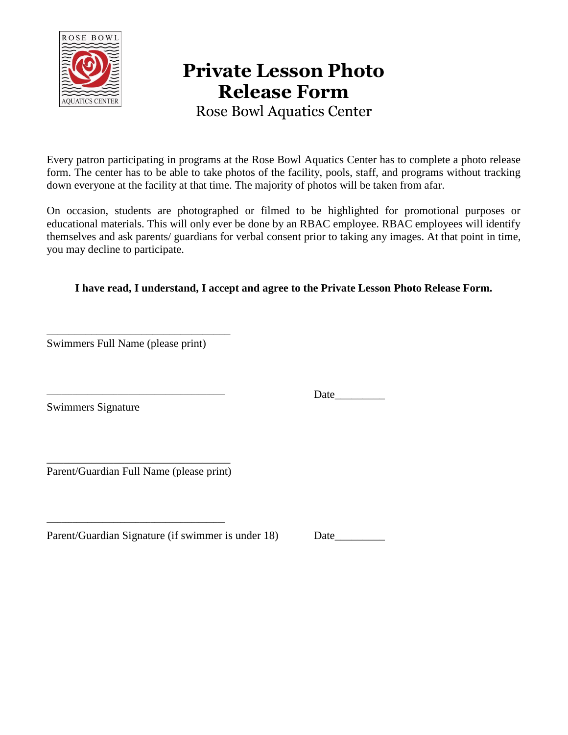

# **Private Lesson Photo Release Form**

Rose Bowl Aquatics Center

Every patron participating in programs at the Rose Bowl Aquatics Center has to complete a photo release form. The center has to be able to take photos of the facility, pools, staff, and programs without tracking down everyone at the facility at that time. The majority of photos will be taken from afar.

On occasion, students are photographed or filmed to be highlighted for promotional purposes or educational materials. This will only ever be done by an RBAC employee. RBAC employees will identify themselves and ask parents/ guardians for verbal consent prior to taking any images. At that point in time, you may decline to participate.

### **I have read, I understand, I accept and agree to the Private Lesson Photo Release Form.**

\_\_\_\_\_\_\_\_\_\_\_\_\_\_\_\_\_\_\_\_\_\_\_\_\_\_\_\_\_\_\_\_\_ Swimmers Full Name (please print)

Swimmers Signature

Date  $\frac{1}{\sqrt{1-\frac{1}{2}}\cdot\frac{1}{\sqrt{1-\frac{1}{2}}}}$ 

\_\_\_\_\_\_\_\_\_\_\_\_\_\_\_\_\_\_\_\_\_\_\_\_\_\_\_\_\_\_\_\_\_ Parent/Guardian Full Name (please print)

\_\_\_\_\_\_\_\_\_\_\_\_\_\_\_\_\_\_\_\_\_\_\_\_\_\_\_\_\_\_\_\_\_\_\_\_\_\_\_\_\_\_\_\_\_\_\_\_

Parent/Guardian Signature (if swimmer is under 18) Date